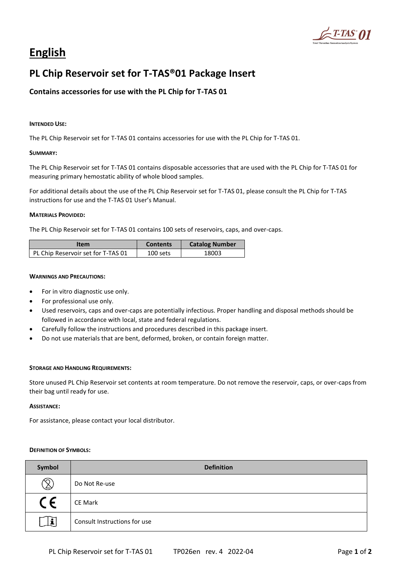

# **English**

## **PL Chip Reservoir set for T-TAS®01 Package Insert**

## **Contains accessories for use with the PL Chip for T-TAS 01**

#### **INTENDED USE:**

The PL Chip Reservoir set for T-TAS 01 contains accessories for use with the PL Chip for T-TAS 01.

#### **SUMMARY:**

The PL Chip Reservoir set for T-TAS 01 contains disposable accessories that are used with the PL Chip for T-TAS 01 for measuring primary hemostatic ability of whole blood samples.

For additional details about the use of the PL Chip Reservoir set for T-TAS 01, please consult the PL Chip for T-TAS instructions for use and the T-TAS 01 User's Manual.

#### **MATERIALS PROVIDED:**

The PL Chip Reservoir set for T-TAS 01 contains 100 sets of reservoirs, caps, and over-caps.

| Item                               | <b>Contents</b> | <b>Catalog Number</b> |
|------------------------------------|-----------------|-----------------------|
| PL Chip Reservoir set for T-TAS 01 | 100 sets        | 18003                 |

#### **WARNINGS AND PRECAUTIONS:**

- For in vitro diagnostic use only.
- For professional use only.
- Used reservoirs, caps and over-caps are potentially infectious. Proper handling and disposal methods should be followed in accordance with local, state and federal regulations.
- Carefully follow the instructions and procedures described in this package insert.
- Do not use materials that are bent, deformed, broken, or contain foreign matter.

#### **STORAGE AND HANDLING REQUIREMENTS:**

Store unused PL Chip Reservoir set contents at room temperature. Do not remove the reservoir, caps, or over-caps from their bag until ready for use.

#### **ASSISTANCE:**

For assistance, please contact your local distributor.

#### **DEFINITION OF SYMBOLS:**

| Symbol       | <b>Definition</b>            |
|--------------|------------------------------|
| Q            | Do Not Re-use                |
| CE           | <b>CE Mark</b>               |
| $\mathbf{i}$ | Consult Instructions for use |